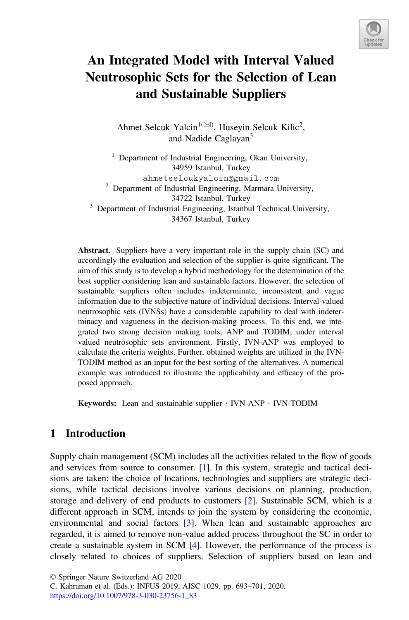

# An Integrated Model with Interval Valued Neutrosophic Sets for the Selection of Lean and Sustainable Suppliers

Ahmet Selcuk Yalcin<sup>1( $\boxtimes$ )</sup>, Huseyin Selcuk Kilic<sup>2</sup>, and Nadide Caglayan<sup>3</sup>

<sup>1</sup> Department of Industrial Engineering, Okan University, 34959 Istanbul, Turkey ahmetselcukyalcin@gmail.com  $2$  Department of Industrial Engineering, Marmara University, 34722 Istanbul, Turkey<br><sup>3</sup> Department of Industrial Engineering, Istanbul Technical University, 34367 Istanbul, Turkey

Abstract. Suppliers have a very important role in the supply chain (SC) and accordingly the evaluation and selection of the supplier is quite significant. The aim of this study is to develop a hybrid methodology for the determination of the best supplier considering lean and sustainable factors. However, the selection of sustainable suppliers often includes indeterminate, inconsistent and vague information due to the subjective nature of individual decisions. Interval-valued neutrosophic sets (IVNSs) have a considerable capability to deal with indeterminacy and vagueness in the decision-making process. To this end, we integrated two strong decision making tools, ANP and TODIM, under interval valued neutrosophic sets environment. Firstly, IVN-ANP was employed to calculate the criteria weights. Further, obtained weights are utilized in the IVN-TODIM method as an input for the best sorting of the alternatives. A numerical example was introduced to illustrate the applicability and efficacy of the proposed approach.

**Keywords:** Lean and sustainable supplier  $\cdot$  IVN-ANP  $\cdot$  IVN-TODIM

# 1 Introduction

Supply chain management (SCM) includes all the activities related to the flow of goods and services from source to consumer. [1]. In this system, strategic and tactical decisions are taken; the choice of locations, technologies and suppliers are strategic decisions, while tactical decisions involve various decisions on planning, production, storage and delivery of end products to customers [2]. Sustainable SCM, which is a different approach in SCM, intends to join the system by considering the economic, environmental and social factors [3]. When lean and sustainable approaches are regarded, it is aimed to remove non-value added process throughout the SC in order to create a sustainable system in SCM [4]. However, the performance of the process is closely related to choices of suppliers. Selection of suppliers based on lean and

© Springer Nature Switzerland AG 2020

C. Kahraman et al. (Eds.): INFUS 2019, AISC 1029, pp. 693–701, 2020. [https://doi.org/10.1007/978-3-030-23756-1\\_83](https://doi.org/10.1007/978-3-030-23756-1_83)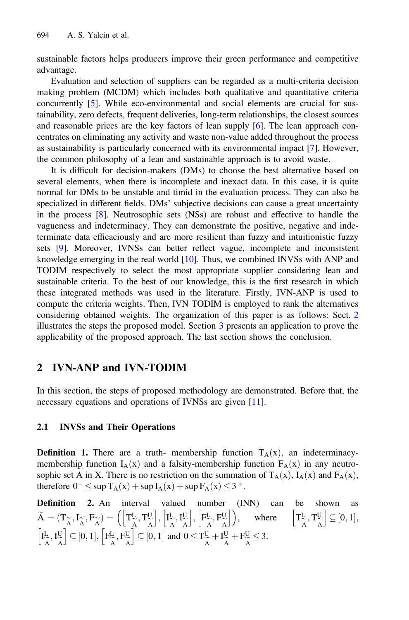sustainable factors helps producers improve their green performance and competitive advantage.

Evaluation and selection of suppliers can be regarded as a multi-criteria decision making problem (MCDM) which includes both qualitative and quantitative criteria concurrently [5]. While eco-environmental and social elements are crucial for sustainability, zero defects, frequent deliveries, long-term relationships, the closest sources and reasonable prices are the key factors of lean supply [6]. The lean approach concentrates on eliminating any activity and waste non-value added throughout the process as sustainability is particularly concerned with its environmental impact [7]. However, the common philosophy of a lean and sustainable approach is to avoid waste.

It is difficult for decision-makers (DMs) to choose the best alternative based on several elements, when there is incomplete and inexact data. In this case, it is quite normal for DMs to be unstable and timid in the evaluation process. They can also be specialized in different fields. DMs' subjective decisions can cause a great uncertainty in the process [8]. Neutrosophic sets (NSs) are robust and effective to handle the vagueness and indeterminacy. They can demonstrate the positive, negative and indeterminate data efficaciously and are more resilient than fuzzy and intuitionistic fuzzy sets [9]. Moreover, IVNSs can better reflect vague, incomplete and inconsistent knowledge emerging in the real world  $[10]$ . Thus, we combined INVSs with ANP and TODIM respectively to select the most appropriate supplier considering lean and sustainable criteria. To the best of our knowledge, this is the first research in which these integrated methods was used in the literature. Firstly, IVN-ANP is used to compute the criteria weights. Then, IVN TODIM is employed to rank the alternatives considering obtained weights. The organization of this paper is as follows: Sect. [2](#page-4-0) illustrates the steps the proposed model. Section [3](#page-7-0) presents an application to prove the applicability of the proposed approach. The last section shows the conclusion.

# 2 IVN-ANP and IVN-TODIM

In this section, the steps of proposed methodology are demonstrated. Before that, the necessary equations and operations of IVNSs are given [11].

## 2.1 INVSs and Their Operations

**Definition 1.** There are a truth- membership function  $T_A(x)$ , an indeterminacymembership function  $I_A(x)$  and a falsity-membership function  $F_A(x)$  in any neutrosophic set A in X. There is no restriction on the summation of  $T_A(x)$ ,  $I_A(x)$  and  $F_A(x)$ , therefore  $0^- \leq \sup T_A(x) + \sup I_A(x) + \sup F_A(x) \leq 3^+$ .

Definition 2. An interval valued number (INN) can be shown as  $\widetilde{A} = (\mathbf{T}_{\widetilde{A}}, \mathbf{I}_{\widetilde{A}}, \mathbf{F}_{\widetilde{A}}) = \left( \left[ \mathbf{T}_{\widetilde{A}}^{\mathbf{L}}, \mathbf{T}_{\widetilde{A}}^{\mathbf{U}} \right], \left[ \mathbf{I}_{\widetilde{A}}^{\mathbf{L}} \right] \right)$ AA' \LAAJ LAAJ LAA<br>eel II II ee  $\frac{L}{A}, I^U_{\widetilde{A}}$  $\left[\mathbf{I}^{\text{L}}_{\widetilde{\text{A}}}, \mathbf{I}^{\text{U}}_{\widetilde{\text{A}}}\right], \left[\mathbf{F}^{\text{L}}_{\widetilde{\text{A}}}, \mathbf{F}^{\text{U}}_{\widetilde{\text{A}}} \right]$  $\sqrt{2}$  $[F_{\sim}^{\text{L}}, F_{\sim}^{\text{U}}]$ , where  $[T_{\sim}^{\text{L}}]$  $\frac{L}{A}$ , T<sub>A</sub> e A  $\left[ T_{\widetilde{A}}^L, T_{\widetilde{A}}^U \right] \subseteq [0,1],$ I L  $\frac{L}{A}, I_{\widetilde{A}}^{\mathrm{U}}$ e A  $\left[I_{\widetilde{A}}^{\mathrm{L}},I_{\widetilde{A}}^{\mathrm{U}}\right]\subseteq[0,1],\left[F_{\widetilde{A}}^{\mathrm{L}},F_{\widetilde{A}}^{\mathrm{U}}\right]$ e A  $\left[F_{\widetilde{A}}^{\text{L}}, F_{\widetilde{A}}^{\text{U}}\right] \subseteq [0, 1]$  and  $0 \le T_{\widetilde{A}}^{\text{U}} + I_{\widetilde{A}}^{\text{U}}$  $\frac{U}{A} + F_{\widetilde{A}}^{U} \leq 3.$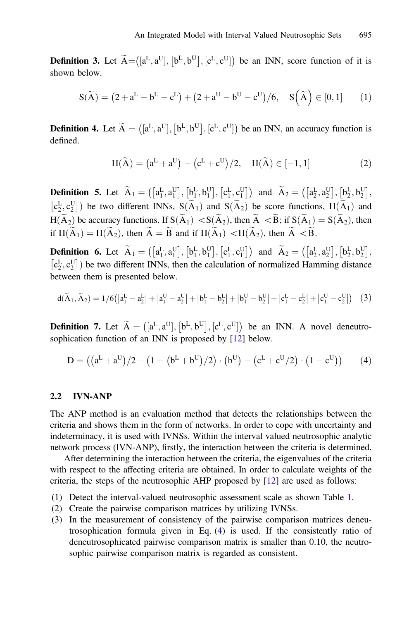**Definition 3.** Let  $\widetilde{A} = ([a^L, a^U], [b^L, b^U], [c^L, c^U])$  be an INN, score function of it is shown below.

$$
S(\widetilde{A}) = (2 + a^L - b^L - c^L) + (2 + a^U - b^U - c^U)/6, \quad S(\widetilde{A}) \in [0, 1]
$$
 (1)

**Definition 4.** Let  $\tilde{A} = (\mathbf{a}^L, \mathbf{a}^U], [\mathbf{b}^L, \mathbf{b}^U], [\mathbf{c}^L, \mathbf{c}^U]$  be an INN, an accuracy function is defined.

$$
H(\widetilde{A}) = (aL + aU) - (cL + cU)/2, \quad H(\widetilde{A}) \in [-1, 1]
$$
 (2)

**Definition 5.** Let  $\widetilde{A}_1 = \left( \begin{bmatrix} a_1^L, a_1^U \end{bmatrix}, \begin{bmatrix} b_1^L, b_1^U \end{bmatrix}, \begin{bmatrix} c_1^L, c_1^U \end{bmatrix} \right)$  and  $\widetilde{A}_2 = \left( \begin{bmatrix} a_2^L, a_2^U \end{bmatrix}, \begin{bmatrix} b_2^L, b_2^U \end{bmatrix}, \begin{bmatrix} b_2^L, b_2^U \end{bmatrix}, \begin{bmatrix} b_2^L, b_2^U \end{bmatrix} \right)$  $[c_2^L, c_2^U]$  be two different INNs,  $S(\tilde{A}_1)$  and  $S(\tilde{A}_2)$  be score functions,  $H(\tilde{A}_1)$  and  $H(\tilde{A}_2)$  $H(\widetilde{A}_2)$  be accuracy functions. If  $S(\widetilde{A}_1) < S(\widetilde{A}_2)$ , then  $\widetilde{A} < \widetilde{B}$ ; if  $S(\widetilde{A}_1) = S(\widetilde{A}_2)$ , then if  $H(\widetilde{A}_1) = H(\widetilde{A}_2)$ , then  $\widetilde{A} = \widetilde{B}$  and if  $H(\widetilde{A}_1) < H(\widetilde{A}_2)$ , then  $\widetilde{A} < \widetilde{B}$ .

**Definition 6.** Let  $\widetilde{A}_1 = (\begin{bmatrix} a_1^L, a_1^U \end{bmatrix}, \begin{bmatrix} b_1^L, b_1^U \end{bmatrix}, \begin{bmatrix} c_1^L, c_1^U \end{bmatrix})$  and  $\widetilde{A}_2 = (\begin{bmatrix} a_2^L, a_2^U \end{bmatrix}, \begin{bmatrix} b_2^L, b_2^U \end{bmatrix}, \begin{bmatrix} b_2^L, b_2^U \end{bmatrix})$  $[c_2^L, c_2^U]$ ) be two different INNs, then the calculation of normalized Hamming distance<br>between them is presented below between them is presented below.

$$
d(\widetilde{A}_1, \widetilde{A}_2) = 1/6(|a_1^L - a_2^L| + |a_1^U - a_2^U| + |b_1^L - b_2^L| + |b_1^U - b_2^U| + |c_1^L - c_2^L| + |c_1^U - c_2^U|) \tag{3}
$$

**Definition 7.** Let  $\widetilde{A} = ([a^L, a^U], [b^L, b^U], [c^L, c^U])$  be an INN. A novel deneutrosophication function of an INN is proposed by [12] below.

$$
D = ((aL + aU)/2 + (1 - (bL + bU)/2) \cdot (bU) - (cL + cU/2) \cdot (1 - cU))
$$
 (4)

### 2.2 IVN-ANP

The ANP method is an evaluation method that detects the relationships between the criteria and shows them in the form of networks. In order to cope with uncertainty and indeterminacy, it is used with IVNSs. Within the interval valued neutrosophic analytic network process (IVN-ANP), firstly, the interaction between the criteria is determined.

After determining the interaction between the criteria, the eigenvalues of the criteria with respect to the affecting criteria are obtained. In order to calculate weights of the criteria, the steps of the neutrosophic AHP proposed by [12] are used as follows:

- (1) Detect the interval-valued neutrosophic assessment scale as shown Table [1](#page-6-0).
- (2) Create the pairwise comparison matrices by utilizing IVNSs.
- (3) In the measurement of consistency of the pairwise comparison matrices deneutrosophication formula given in Eq. ([4\)](#page-5-0) is used. If the consistently ratio of deneutrosophicated pairwise comparison matrix is smaller than 0.10, the neutrosophic pairwise comparison matrix is regarded as consistent.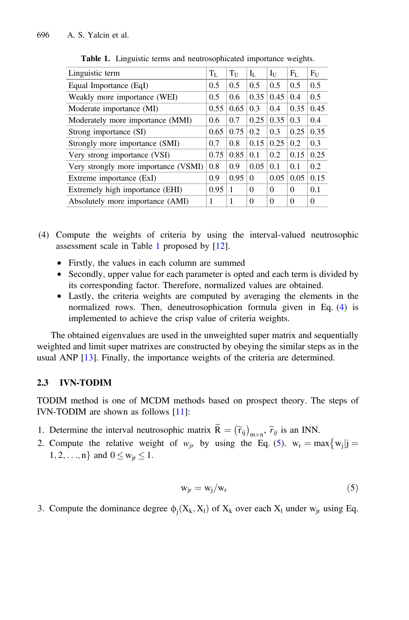| Linguistic term                      | $T_{\rm L}$ | $T_{\rm U}$ | $\rm I_{I}$ . | $I_U$    | $F_L$    | F <sub>U</sub> |
|--------------------------------------|-------------|-------------|---------------|----------|----------|----------------|
| Equal Importance (EqI)               | 0.5         | 0.5         | 0.5           | 0.5      | 0.5      | 0.5            |
| Weakly more importance (WEI)         | 0.5         | 0.6         | 0.35          | 0.45     | 0.4      | 0.5            |
| Moderate importance (MI)             | 0.55        | 0.65        | 0.3           | 0.4      | 0.35     | 0.45           |
| Moderately more importance (MMI)     | 0.6         | 0.7         | 0.25          | 0.35     | 0.3      | 0.4            |
| Strong importance (SI)               | 0.65        | 0.75        | 0.2           | 0.3      | 0.25     | 0.35           |
| Strongly more importance (SMI)       | 0.7         | 0.8         | 0.15          | 0.25     | 0.2      | 0.3            |
| Very strong importance (VSI)         | 0.75        | 0.85        | 0.1           | 0.2      | 0.15     | 0.25           |
| Very strongly more importance (VSMI) | 0.8         | 0.9         | 0.05          | 0.1      | 0.1      | 0.2            |
| Extreme importance (ExI)             | 0.9         | 0.95        | 0             | 0.05     | 0.05     | 0.15           |
| Extremely high importance (EHI)      | 0.95        | 1           | $\Omega$      | $\Omega$ | $\Omega$ | 0.1            |
| Absolutely more importance (AMI)     | 1           | 1           | 0             | $\Omega$ | $\theta$ | $\Omega$       |

Table 1. Linguistic terms and neutrosophicated importance weights.

- (4) Compute the weights of criteria by using the interval-valued neutrosophic assessment scale in Table [1](#page-6-0) proposed by [12].
	- Firstly, the values in each column are summed
	- Secondly, upper value for each parameter is opted and each term is divided by its corresponding factor. Therefore, normalized values are obtained.
	- Lastly, the criteria weights are computed by averaging the elements in the normalized rows. Then, deneutrosophication formula given in Eq. ([4\)](#page-5-0) is implemented to achieve the crisp value of criteria weights.

The obtained eigenvalues are used in the unweighted super matrix and sequentially weighted and limit super matrixes are constructed by obeying the similar steps as in the usual ANP [13]. Finally, the importance weights of the criteria are determined.

## 2.3 IVN-TODIM

TODIM method is one of MCDM methods based on prospect theory. The steps of IVN-TODIM are shown as follows [11]:

- 1. Determine the interval neutrosophic matrix  $\widetilde{R} = (\widetilde{r}_{ij})_{m \times n}$ ,  $\widetilde{r}_{ij}$  is an INN.
- 2. Compute the relative weight of  $w_{ir}$  by using the Eq. [\(5](#page-6-0)).  $w_r = max\{w_i | j = 1\}$  $1, 2, ..., n$ } and  $0 \leq w_{ir} \leq 1$ .

$$
w_{jr} = w_j / w_r \tag{5}
$$

3. Compute the dominance degree  $\phi_i(X_k, X_l)$  of  $X_k$  over each  $X_l$  under w<sub>jr</sub> using Eq.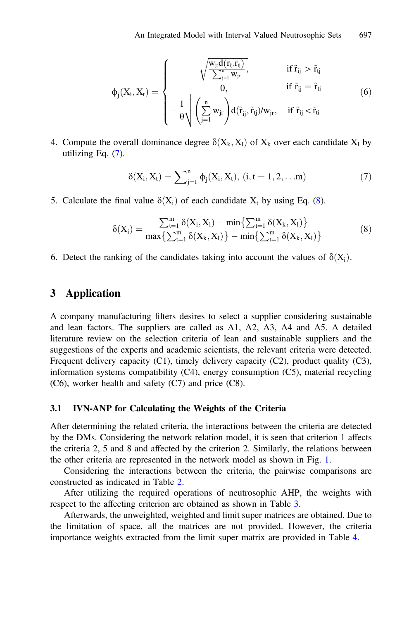<span id="page-4-0"></span>
$$
\varphi_j(X_i,X_t)=\left\{\begin{matrix} \sqrt{\frac{W_{ji}d\left(\tilde{r}_{ij},\tilde{r}_{ij}\right)}{\sum_{j=1}^n W_{jr}}}, & \text{if } \tilde{r}_{ij}>\tilde{r}_{ij}\\ 0, & \text{if } \tilde{r}_{ij}=\tilde{r}_{ti}\\ -\frac{1}{\theta}\sqrt{\left(\sum_{j=1}^n w_{jr}\right)\! d\!\left(\tilde{r}_{ij},\tilde{r}_{tj}\right)\! /w_{jr}}, & \text{if } \tilde{r}_{ij}<\tilde{r}_{ti} \end{matrix}\right. \tag{6}
$$

4. Compute the overall dominance degree  $\delta(X_k, X_l)$  of  $X_k$  over each candidate  $X_l$  by utilizing Eq. ([7\)](#page-7-0).

$$
\delta(X_i, X_t) = \sum_{j=1}^n \phi_j(X_i, X_t), \ (i, t = 1, 2, \dots m)
$$
 (7)

5. Calculate the final value  $\delta(X_i)$  of each candidate  $X_t$  by using Eq. ([8\)](#page-7-0).

$$
\delta(X_i) = \frac{\sum_{t=1}^{m} \delta(X_i, X_l) - \min\left\{\sum_{t=1}^{m} \delta(X_k, X_l)\right\}}{\max\left\{\sum_{t=1}^{m} \delta(X_k, X_l)\right\} - \min\left\{\sum_{t=1}^{m} \delta(X_k, X_l)\right\}}\tag{8}
$$

6. Detect the ranking of the candidates taking into account the values of  $\delta(X_i)$ .

## 3 Application

A company manufacturing filters desires to select a supplier considering sustainable and lean factors. The suppliers are called as A1, A2, A3, A4 and A5. A detailed literature review on the selection criteria of lean and sustainable suppliers and the suggestions of the experts and academic scientists, the relevant criteria were detected. Frequent delivery capacity  $(C1)$ , timely delivery capacity  $(C2)$ , product quality  $(C3)$ , information systems compatibility (C4), energy consumption (C5), material recycling (C6), worker health and safety (C7) and price (C8).

#### 3.1 IVN-ANP for Calculating the Weights of the Criteria

After determining the related criteria, the interactions between the criteria are detected by the DMs. Considering the network relation model, it is seen that criterion 1 affects the criteria 2, 5 and 8 and affected by the criterion 2. Similarly, the relations between the other criteria are represented in the network model as shown in Fig. [1.](#page-8-0)

Considering the interactions between the criteria, the pairwise comparisons are constructed as indicated in Table [2.](#page-8-0)

After utilizing the required operations of neutrosophic AHP, the weights with respect to the affecting criterion are obtained as shown in Table [3.](#page-8-0)

Afterwards, the unweighted, weighted and limit super matrices are obtained. Due to the limitation of space, all the matrices are not provided. However, the criteria importance weights extracted from the limit super matrix are provided in Table [4](#page-8-0).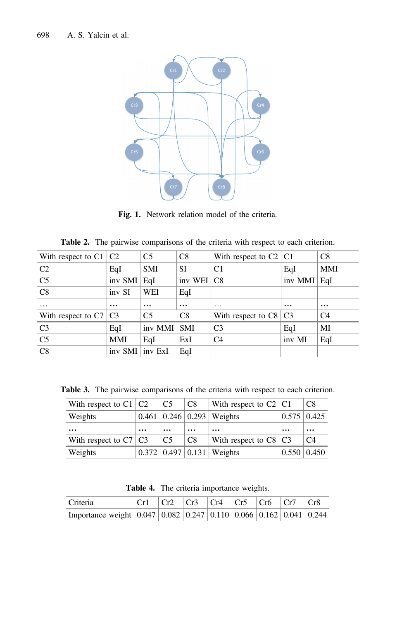<span id="page-5-0"></span>

Fig. 1. Network relation model of the criteria.

|  | Table 2. The pairwise comparisons of the criteria with respect to each criterion. |  |  |  |  |
|--|-----------------------------------------------------------------------------------|--|--|--|--|
|  |                                                                                   |  |  |  |  |

| With respect to $C1$ $C2$ |            | C <sub>5</sub> | C8        | With respect to $C2   C1$    |               | C8         |
|---------------------------|------------|----------------|-----------|------------------------------|---------------|------------|
| C <sub>2</sub>            | EqI        | <b>SMI</b>     | SI        | C1                           | EqI           | <b>MMI</b> |
| C <sub>5</sub>            | inv SMI    | EqI            | inv WEI   | $\overline{C8}$              | inv MMI   EqI |            |
| C8                        | inv SI     | WEI            | EqI       |                              |               |            |
| $\cdots$                  | $\ddotsc$  | $\cdots$       | $\ddotsc$ | $\cdot$                      | $\cdots$      | $\cdots$   |
| With respect to $C7/C3$   |            | C <sub>5</sub> | C8        | With respect to $C8 \mid C3$ |               | C4         |
| C <sub>3</sub>            | EqI        | inv MMI SMI    |           | C <sub>3</sub>               | EqI           | MI         |
| C <sub>5</sub>            | <b>MMI</b> | EqI            | ExI       | C <sub>4</sub>               | inv MI        | EqI        |
| C8                        | inv SMI    | inv ExI        | EqI       |                              |               |            |

Table 3. The pairwise comparisons of the criteria with respect to each criterion.

| With respect to $C1$ $C2$ |          | $\overline{C5}$ | C8       | With respect to $C2$   C1         |                    | C <sub>8</sub> |
|---------------------------|----------|-----------------|----------|-----------------------------------|--------------------|----------------|
| Weights                   |          |                 |          | $0.461$   0.246   0.293   Weights | $0.575 \mid 0.425$ |                |
| $\cdots$                  | $\cdots$ | $\cdots$        | $\cdots$ | $\ddotsc$                         | $\cdots$           | $\cdots$       |
| With respect to $C7/C3$   |          | C5              | C8       | With respect to $C8$   $C3$       |                    | C4             |
| Weights                   |          |                 |          | $0.372$   0.497   0.131   Weights | $0.550 \mid 0.450$ |                |

Table 4. The criteria importance weights.

| Criteria                                                                     | Cr1 Cr2 Cr3 Cr4 Cr5 Cr6 Cr7 Cr8 |  |  |  |  |
|------------------------------------------------------------------------------|---------------------------------|--|--|--|--|
| Importance weight $(0.047)(0.082)(0.247)(0.110)(0.066)(0.162)(0.041)(0.244)$ |                                 |  |  |  |  |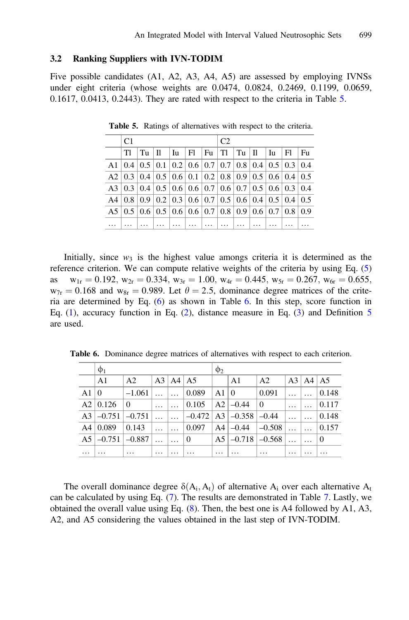### <span id="page-6-0"></span>3.2 Ranking Suppliers with IVN-TODIM

Five possible candidates (A1, A2, A3, A4, A5) are assessed by employing IVNSs under eight criteria (whose weights are 0.0474, 0.0824, 0.2469, 0.1199, 0.0659, 0.1617, 0.0413, 0.2443). They are rated with respect to the criteria in Table 5.

| C <sub>1</sub> |  |  |  |  | C <sub>2</sub> |  |                                                                                                                              |  |  |  |     |
|----------------|--|--|--|--|----------------|--|------------------------------------------------------------------------------------------------------------------------------|--|--|--|-----|
| TI             |  |  |  |  |                |  | $Tu$   $II$   $Iu$   $FI$   $Fu$   $TI$   $Tu$   $II$   $Iu$   $FI$                                                          |  |  |  | Fu  |
|                |  |  |  |  |                |  | A1   0.4   0.5   0.1   0.2   0.6   0.7   0.7   0.8   0.4   0.5   0.3   0.4                                                   |  |  |  |     |
|                |  |  |  |  |                |  | A2   0.3   0.4   0.5   0.6   0.1   0.2   0.8   0.9   0.5   0.6   0.4   0.5                                                   |  |  |  |     |
|                |  |  |  |  |                |  | A3   0.3   0.4   0.5   0.6   0.6   0.7   0.6   0.7   0.5   0.6   0.3   0.4                                                   |  |  |  |     |
|                |  |  |  |  |                |  | A4 $\vert 0.8 \vert 0.9 \vert 0.2 \vert 0.3 \vert 0.6 \vert 0.7 \vert 0.5 \vert 0.6 \vert 0.4 \vert 0.5 \vert 0.4 \vert 0.5$ |  |  |  |     |
|                |  |  |  |  |                |  | A5   0.5   0.6   0.5   0.6   0.6   0.7   0.8   0.9   0.6   0.7   0.8                                                         |  |  |  | 0.9 |
|                |  |  |  |  |                |  |                                                                                                                              |  |  |  |     |

Table 5. Ratings of alternatives with respect to the criteria.

Initially, since  $w_3$  is the highest value amongs criteria it is determined as the reference criterion. We can compute relative weights of the criteria by using Eq. (5) as  $w_{1r} = 0.192$ ,  $w_{2r} = 0.334$ ,  $w_{3r} = 1.00$ ,  $w_{4r} = 0.445$ ,  $w_{5r} = 0.267$ ,  $w_{6r} = 0.655$ ,  $w_{7r} = 0.168$  and  $w_{8r} = 0.989$ . Let  $\theta = 2.5$ , dominance degree matrices of the criteria are determined by Eq. (6) as shown in Table 6. In this step, score function in Eq. ([1\)](#page-5-0), accuracy function in Eq. ([2\)](#page-5-0), distance measure in Eq. ([3\)](#page-5-0) and Definition  $5$ are used.

|                | $\phi_1$       |                |          |          |          | $\phi$  |                 |                 |   |          |               |
|----------------|----------------|----------------|----------|----------|----------|---------|-----------------|-----------------|---|----------|---------------|
|                | A <sub>1</sub> | A <sub>2</sub> |          | A3 A4 A5 |          |         | A1              | A <sub>2</sub>  |   | A3 A4 A5 |               |
| A1             | $\Omega$       | $-1.061$       |          |          | 0.089    | A1      | 10              | 0.091           |   |          | $\vert 0.148$ |
| A2             | 0.126          | $\Omega$       | $\cdots$ |          | 0.105    | A2      | $ -0.44$        | $\vert 0 \vert$ | . |          | 0.117         |
| A <sub>3</sub> | $-0.751$       | $-0.751$       |          | $\cdots$ | $-0.472$ |         | $A3$   $-0.358$ | $-0.44$         |   |          | 0.148         |
| A4             | 0.089          | 0.143          | $\cdots$ | $\cdot$  | 0.097    | A4      | $ -0.44$        | $-0.508$        |   |          | 0.157         |
| A5             | $-0.751$       | $-0.887$       |          |          | $\theta$ | A5      | $-0.718$        | $-0.568$        |   |          | $\bf{0}$      |
| $\cdots$       | .              | $\cdots$       | $\cdot$  | .        | .        | $\cdot$ | .               | .               | . |          | .             |

Table 6. Dominance degree matrices of alternatives with respect to each criterion.

The overall dominance degree  $\delta(A_i, A_t)$  of alternative  $A_i$  over each alternative  $A_t$ can be calculated by using Eq. ([7\)](#page-7-0). The results are demonstrated in Table 7. Lastly, we obtained the overall value using Eq. ([8\)](#page-7-0). Then, the best one is A4 followed by A1, A3, A2, and A5 considering the values obtained in the last step of IVN-TODIM.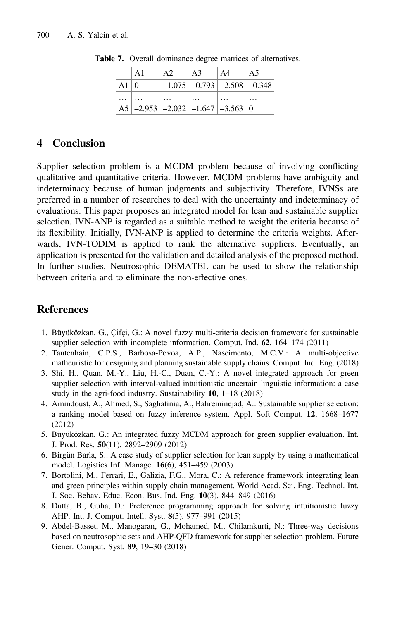|          | $\Delta$ 1 | A <sub>2</sub> | A3                                                                       | $\mathsf{A}4$ | A5 |
|----------|------------|----------------|--------------------------------------------------------------------------|---------------|----|
| A $1 0$  |            |                | $-1.075$ $-0.793$ $-2.508$ $-0.348$                                      |               |    |
| $\cdots$ |            |                |                                                                          |               |    |
|          |            |                | A5 $\vert$ -2.953 $\vert$ -2.032 $\vert$ -1.647 $\vert$ -3.563 $\vert$ 0 |               |    |

<span id="page-7-0"></span>Table 7. Overall dominance degree matrices of alternatives.

# 4 Conclusion

Supplier selection problem is a MCDM problem because of involving conflicting qualitative and quantitative criteria. However, MCDM problems have ambiguity and indeterminacy because of human judgments and subjectivity. Therefore, IVNSs are preferred in a number of researches to deal with the uncertainty and indeterminacy of evaluations. This paper proposes an integrated model for lean and sustainable supplier selection. IVN-ANP is regarded as a suitable method to weight the criteria because of its flexibility. Initially, IVN-ANP is applied to determine the criteria weights. Afterwards, IVN-TODIM is applied to rank the alternative suppliers. Eventually, an application is presented for the validation and detailed analysis of the proposed method. In further studies, Neutrosophic DEMATEL can be used to show the relationship between criteria and to eliminate the non-effective ones.

# **References**

- 1. Büyüközkan, G., Çifçi, G.: A novel fuzzy multi-criteria decision framework for sustainable supplier selection with incomplete information. Comput. Ind. 62, 164–174 (2011)
- 2. Tautenhain, C.P.S., Barbosa-Povoa, A.P., Nascimento, M.C.V.: A multi-objective matheuristic for designing and planning sustainable supply chains. Comput. Ind. Eng. (2018)
- 3. Shi, H., Quan, M.-Y., Liu, H.-C., Duan, C.-Y.: A novel integrated approach for green supplier selection with interval-valued intuitionistic uncertain linguistic information: a case study in the agri-food industry. Sustainability 10, 1–18 (2018)
- 4. Amindoust, A., Ahmed, S., Saghafinia, A., Bahreininejad, A.: Sustainable supplier selection: a ranking model based on fuzzy inference system. Appl. Soft Comput. 12, 1668–1677 (2012)
- 5. Büyüközkan, G.: An integrated fuzzy MCDM approach for green supplier evaluation. Int. J. Prod. Res. 50(11), 2892–2909 (2012)
- 6. Birgün Barla, S.: A case study of supplier selection for lean supply by using a mathematical model. Logistics Inf. Manage. 16(6), 451–459 (2003)
- 7. Bortolini, M., Ferrari, E., Galizia, F.G., Mora, C.: A reference framework integrating lean and green principles within supply chain management. World Acad. Sci. Eng. Technol. Int. J. Soc. Behav. Educ. Econ. Bus. Ind. Eng. 10(3), 844–849 (2016)
- 8. Dutta, B., Guha, D.: Preference programming approach for solving intuitionistic fuzzy AHP. Int. J. Comput. Intell. Syst. 8(5), 977–991 (2015)
- 9. Abdel-Basset, M., Manogaran, G., Mohamed, M., Chilamkurti, N.: Three-way decisions based on neutrosophic sets and AHP-QFD framework for supplier selection problem. Future Gener. Comput. Syst. 89, 19–30 (2018)